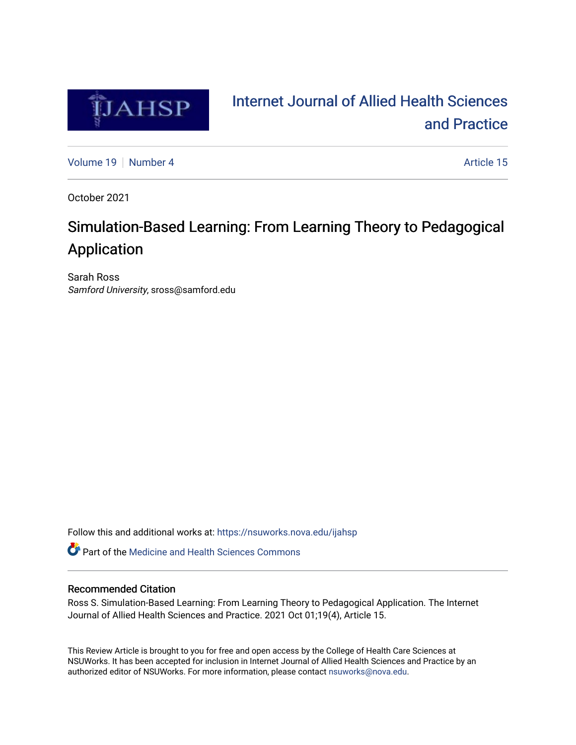

# [Internet Journal of Allied Health Sciences](https://nsuworks.nova.edu/ijahsp)  [and Practice](https://nsuworks.nova.edu/ijahsp)

[Volume 19](https://nsuworks.nova.edu/ijahsp/vol19) [Number 4](https://nsuworks.nova.edu/ijahsp/vol19/iss4) Article 15

October 2021

# Simulation-Based Learning: From Learning Theory to Pedagogical Application

Sarah Ross Samford University, sross@samford.edu

Follow this and additional works at: [https://nsuworks.nova.edu/ijahsp](https://nsuworks.nova.edu/ijahsp?utm_source=nsuworks.nova.edu%2Fijahsp%2Fvol19%2Fiss4%2F15&utm_medium=PDF&utm_campaign=PDFCoverPages) 

Part of the [Medicine and Health Sciences Commons](http://network.bepress.com/hgg/discipline/648?utm_source=nsuworks.nova.edu%2Fijahsp%2Fvol19%2Fiss4%2F15&utm_medium=PDF&utm_campaign=PDFCoverPages) 

## Recommended Citation

Ross S. Simulation-Based Learning: From Learning Theory to Pedagogical Application. The Internet Journal of Allied Health Sciences and Practice. 2021 Oct 01;19(4), Article 15.

This Review Article is brought to you for free and open access by the College of Health Care Sciences at NSUWorks. It has been accepted for inclusion in Internet Journal of Allied Health Sciences and Practice by an authorized editor of NSUWorks. For more information, please contact [nsuworks@nova.edu.](mailto:nsuworks@nova.edu)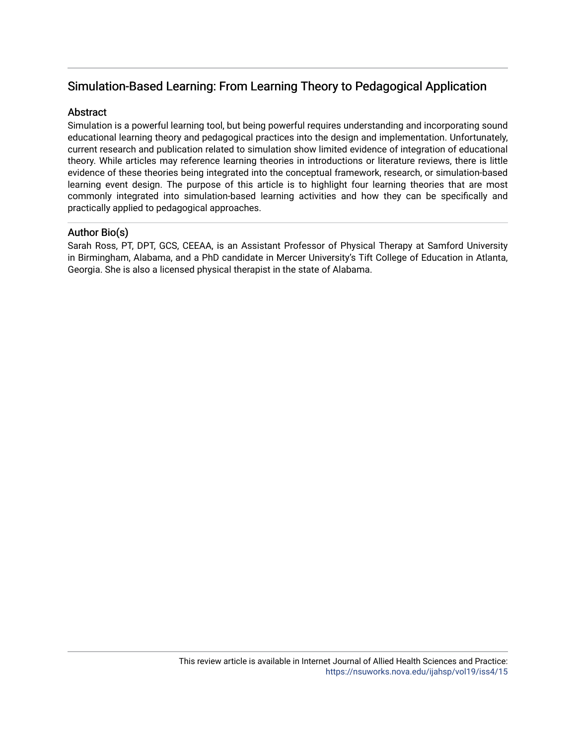# Simulation-Based Learning: From Learning Theory to Pedagogical Application

# **Abstract**

Simulation is a powerful learning tool, but being powerful requires understanding and incorporating sound educational learning theory and pedagogical practices into the design and implementation. Unfortunately, current research and publication related to simulation show limited evidence of integration of educational theory. While articles may reference learning theories in introductions or literature reviews, there is little evidence of these theories being integrated into the conceptual framework, research, or simulation-based learning event design. The purpose of this article is to highlight four learning theories that are most commonly integrated into simulation-based learning activities and how they can be specifically and practically applied to pedagogical approaches.

# Author Bio(s)

Sarah Ross, PT, DPT, GCS, CEEAA, is an Assistant Professor of Physical Therapy at Samford University in Birmingham, Alabama, and a PhD candidate in Mercer University's Tift College of Education in Atlanta, Georgia. She is also a licensed physical therapist in the state of Alabama.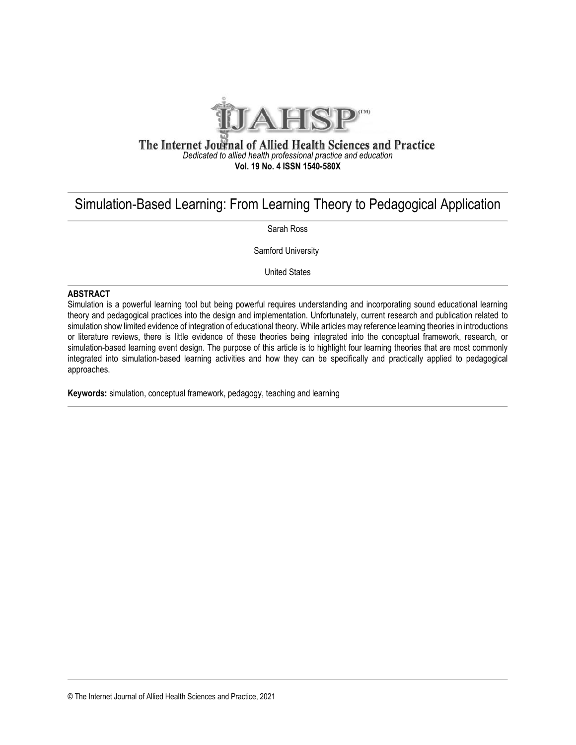

### The Internet Journal of Allied Health Sciences and Practice *Dedicated to allied health professional practice and education* **Vol. 19 No. 4 ISSN 1540-580X**

# Simulation-Based Learning: From Learning Theory to Pedagogical Application

Sarah Ross

Samford University

United States

#### **ABSTRACT**

Simulation is a powerful learning tool but being powerful requires understanding and incorporating sound educational learning theory and pedagogical practices into the design and implementation. Unfortunately, current research and publication related to simulation show limited evidence of integration of educational theory. While articles may reference learning theories in introductions or literature reviews, there is little evidence of these theories being integrated into the conceptual framework, research, or simulation-based learning event design. The purpose of this article is to highlight four learning theories that are most commonly integrated into simulation-based learning activities and how they can be specifically and practically applied to pedagogical approaches.

**Keywords:** simulation, conceptual framework, pedagogy, teaching and learning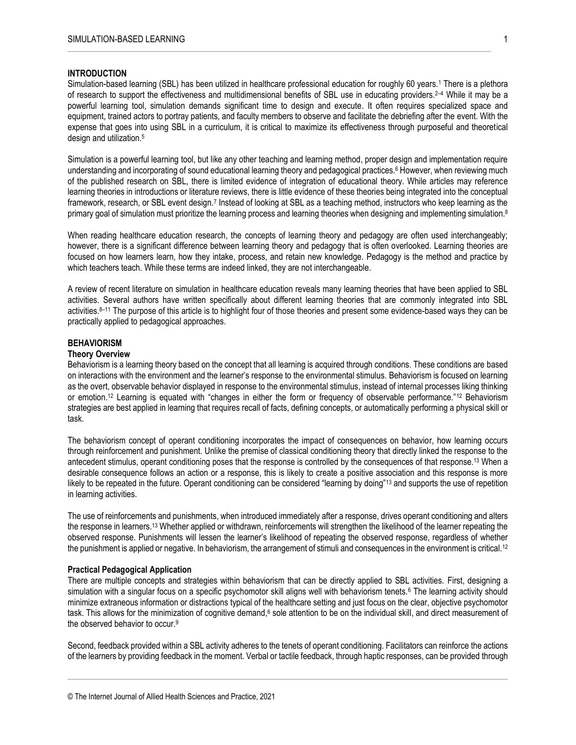#### **INTRODUCTION**

Simulation-based learning (SBL) has been utilized in healthcare professional education for roughly 60 years.<sup>1</sup> There is a plethora of research to support the effectiveness and multidimensional benefits of SBL use in educating providers.2–<sup>4</sup> While it may be a powerful learning tool, simulation demands significant time to design and execute. It often requires specialized space and equipment, trained actors to portray patients, and faculty members to observe and facilitate the debriefing after the event. With the expense that goes into using SBL in a curriculum, it is critical to maximize its effectiveness through purposeful and theoretical design and utilization.<sup>5</sup>

Simulation is a powerful learning tool, but like any other teaching and learning method, proper design and implementation require understanding and incorporating of sound educational learning theory and pedagogical practices. <sup>6</sup> However, when reviewing much of the published research on SBL, there is limited evidence of integration of educational theory. While articles may reference learning theories in introductions or literature reviews, there is little evidence of these theories being integrated into the conceptual framework, research, or SBL event design.<sup>7</sup> Instead of looking at SBL as a teaching method, instructors who keep learning as the primary goal of simulation must prioritize the learning process and learning theories when designing and implementing simulation.<sup>8</sup>

When reading healthcare education research, the concepts of learning theory and pedagogy are often used interchangeably; however, there is a significant difference between learning theory and pedagogy that is often overlooked. Learning theories are focused on how learners learn, how they intake, process, and retain new knowledge. Pedagogy is the method and practice by which teachers teach. While these terms are indeed linked, they are not interchangeable.

A review of recent literature on simulation in healthcare education reveals many learning theories that have been applied to SBL activities. Several authors have written specifically about different learning theories that are commonly integrated into SBL activities. <sup>8</sup>–<sup>11</sup> The purpose of this article is to highlight four of those theories and present some evidence-based ways they can be practically applied to pedagogical approaches.

#### **BEHAVIORISM**

### **Theory Overview**

Behaviorism is a learning theory based on the concept that all learning is acquired through conditions. These conditions are based on interactions with the environment and the learner's response to the environmental stimulus. Behaviorism is focused on learning as the overt, observable behavior displayed in response to the environmental stimulus, instead of internal processes liking thinking or emotion. <sup>12</sup> Learning is equated with "changes in either the form or frequency of observable performance."<sup>12</sup> Behaviorism strategies are best applied in learning that requires recall of facts, defining concepts, or automatically performing a physical skill or task.

The behaviorism concept of operant conditioning incorporates the impact of consequences on behavior, how learning occurs through reinforcement and punishment. Unlike the premise of classical conditioning theory that directly linked the response to the antecedent stimulus, operant conditioning poses that the response is controlled by the consequences of that response.<sup>13</sup> When a desirable consequence follows an action or a response, this is likely to create a positive association and this response is more likely to be repeated in the future. Operant conditioning can be considered "learning by doing"<sup>13</sup> and supports the use of repetition in learning activities.

The use of reinforcements and punishments, when introduced immediately after a response, drives operant conditioning and alters the response in learners.<sup>13</sup> Whether applied or withdrawn, reinforcements will strengthen the likelihood of the learner repeating the observed response. Punishments will lessen the learner's likelihood of repeating the observed response, regardless of whether the punishment is applied or negative. In behaviorism, the arrangement of stimuli and consequences in the environment is critical.<sup>12</sup>

#### **Practical Pedagogical Application**

There are multiple concepts and strategies within behaviorism that can be directly applied to SBL activities. First, designing a simulation with a singular focus on a specific psychomotor skill aligns well with behaviorism tenets.<sup>6</sup> The learning activity should minimize extraneous information or distractions typical of the healthcare setting and just focus on the clear, objective psychomotor task. This allows for the minimization of cognitive demand,<sup>6</sup> sole attention to be on the individual skill, and direct measurement of the observed behavior to occur.<sup>9</sup>

Second, feedback provided within a SBL activity adheres to the tenets of operant conditioning. Facilitators can reinforce the actions of the learners by providing feedback in the moment. Verbal or tactile feedback, through haptic responses, can be provided through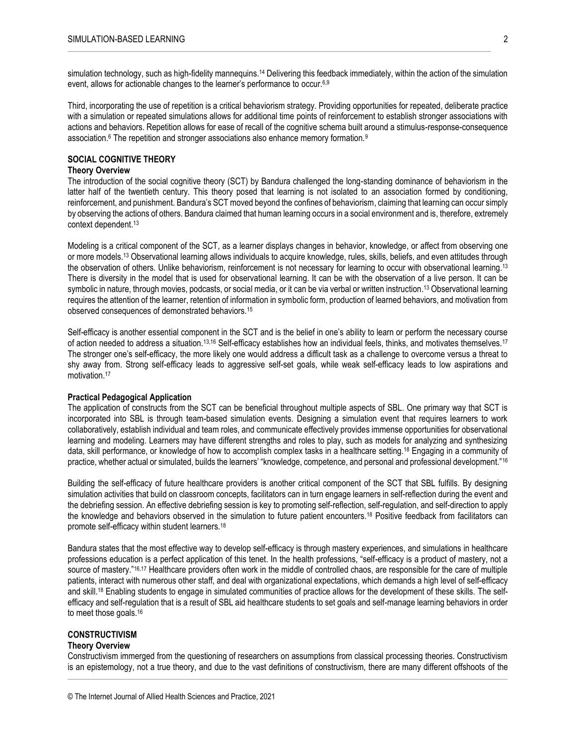simulation technology, such as high-fidelity mannequins.<sup>14</sup> Delivering this feedback immediately, within the action of the simulation event, allows for actionable changes to the learner's performance to occur.6,9

Third, incorporating the use of repetition is a critical behaviorism strategy. Providing opportunities for repeated, deliberate practice with a simulation or repeated simulations allows for additional time points of reinforcement to establish stronger associations with actions and behaviors. Repetition allows for ease of recall of the cognitive schema built around a stimulus-response-consequence association.<sup>6</sup> The repetition and stronger associations also enhance memory formation.<sup>9</sup>

#### **SOCIAL COGNITIVE THEORY**

#### **Theory Overview**

The introduction of the social cognitive theory (SCT) by Bandura challenged the long-standing dominance of behaviorism in the latter half of the twentieth century. This theory posed that learning is not isolated to an association formed by conditioning, reinforcement, and punishment. Bandura's SCT moved beyond the confines of behaviorism, claiming that learning can occur simply by observing the actions of others. Bandura claimed that human learning occurs in a social environment and is, therefore, extremely context dependent.<sup>13</sup>

Modeling is a critical component of the SCT, as a learner displays changes in behavior, knowledge, or affect from observing one or more models.<sup>13</sup> Observational learning allows individuals to acquire knowledge, rules, skills, beliefs, and even attitudes through the observation of others. Unlike behaviorism, reinforcement is not necessary for learning to occur with observational learning.<sup>13</sup> There is diversity in the model that is used for observational learning. It can be with the observation of a live person. It can be symbolic in nature, through movies, podcasts, or social media, or it can be via verbal or written instruction.<sup>13</sup> Observational learning requires the attention of the learner, retention of information in symbolic form, production of learned behaviors, and motivation from observed consequences of demonstrated behaviors.<sup>15</sup>

Self-efficacy is another essential component in the SCT and is the belief in one's ability to learn or perform the necessary course of action needed to address a situation.<sup>13,16</sup> Self-efficacy establishes how an individual feels, thinks, and motivates themselves.<sup>17</sup> The stronger one's self-efficacy, the more likely one would address a difficult task as a challenge to overcome versus a threat to shy away from. Strong self-efficacy leads to aggressive self-set goals, while weak self-efficacy leads to low aspirations and motivation.<sup>17</sup>

#### **Practical Pedagogical Application**

The application of constructs from the SCT can be beneficial throughout multiple aspects of SBL. One primary way that SCT is incorporated into SBL is through team-based simulation events. Designing a simulation event that requires learners to work collaboratively, establish individual and team roles, and communicate effectively provides immense opportunities for observational learning and modeling. Learners may have different strengths and roles to play, such as models for analyzing and synthesizing data, skill performance, or knowledge of how to accomplish complex tasks in a healthcare setting.<sup>18</sup> Engaging in a community of practice, whether actual or simulated, builds the learners' "knowledge, competence, and personal and professional development."<sup>16</sup>

Building the self-efficacy of future healthcare providers is another critical component of the SCT that SBL fulfills. By designing simulation activities that build on classroom concepts, facilitators can in turn engage learners in self-reflection during the event and the debriefing session. An effective debriefing session is key to promoting self-reflection, self-regulation, and self-direction to apply the knowledge and behaviors observed in the simulation to future patient encounters.<sup>18</sup> Positive feedback from facilitators can promote self-efficacy within student learners.<sup>18</sup>

Bandura states that the most effective way to develop self-efficacy is through mastery experiences, and simulations in healthcare professions education is a perfect application of this tenet. In the health professions, "self-efficacy is a product of mastery, not a source of mastery."16,17 Healthcare providers often work in the middle of controlled chaos, are responsible for the care of multiple patients, interact with numerous other staff, and deal with organizational expectations, which demands a high level of self-efficacy and skill.<sup>18</sup> Enabling students to engage in simulated communities of practice allows for the development of these skills. The selfefficacy and self-regulation that is a result of SBL aid healthcare students to set goals and self-manage learning behaviors in order to meet those goals.<sup>16</sup>

# **CONSTRUCTIVISM**

## **Theory Overview**

Constructivism immerged from the questioning of researchers on assumptions from classical processing theories. Constructivism is an epistemology, not a true theory, and due to the vast definitions of constructivism, there are many different offshoots of the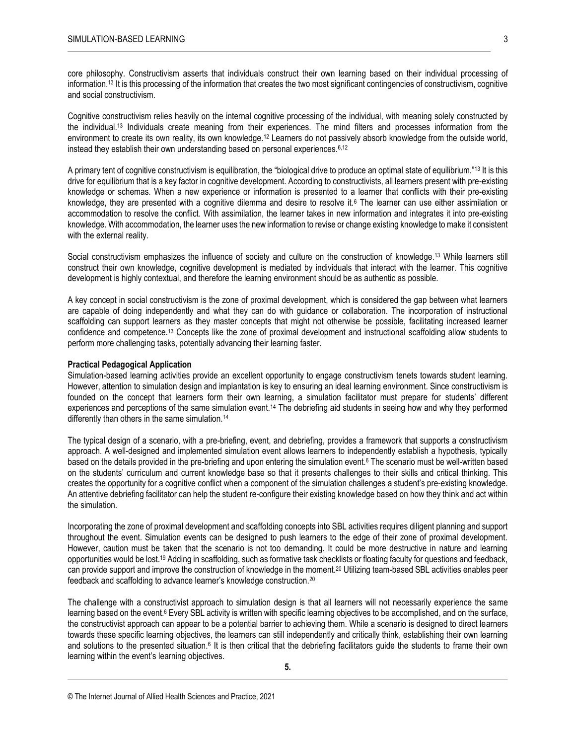core philosophy. Constructivism asserts that individuals construct their own learning based on their individual processing of information.<sup>13</sup> It is this processing of the information that creates the two most significant contingencies of constructivism, cognitive and social constructivism.

Cognitive constructivism relies heavily on the internal cognitive processing of the individual, with meaning solely constructed by the individual.<sup>13</sup> Individuals create meaning from their experiences. The mind filters and processes information from the environment to create its own reality, its own knowledge.<sup>12</sup> Learners do not passively absorb knowledge from the outside world, instead they establish their own understanding based on personal experiences.<sup>6,12</sup>

A primary tent of cognitive constructivism is equilibration, the "biological drive to produce an optimal state of equilibrium."<sup>13</sup> It is this drive for equilibrium that is a key factor in cognitive development. According to constructivists, all learners present with pre-existing knowledge or schemas. When a new experience or information is presented to a learner that conflicts with their pre-existing knowledge, they are presented with a cognitive dilemma and desire to resolve it.<sup>6</sup> The learner can use either assimilation or accommodation to resolve the conflict. With assimilation, the learner takes in new information and integrates it into pre-existing knowledge. With accommodation, the learner uses the new information to revise or change existing knowledge to make it consistent with the external reality.

Social constructivism emphasizes the influence of society and culture on the construction of knowledge.<sup>13</sup> While learners still construct their own knowledge, cognitive development is mediated by individuals that interact with the learner. This cognitive development is highly contextual, and therefore the learning environment should be as authentic as possible.

A key concept in social constructivism is the zone of proximal development, which is considered the gap between what learners are capable of doing independently and what they can do with guidance or collaboration. The incorporation of instructional scaffolding can support learners as they master concepts that might not otherwise be possible, facilitating increased learner confidence and competence.<sup>13</sup> Concepts like the zone of proximal development and instructional scaffolding allow students to perform more challenging tasks, potentially advancing their learning faster.

#### **Practical Pedagogical Application**

Simulation-based learning activities provide an excellent opportunity to engage constructivism tenets towards student learning. However, attention to simulation design and implantation is key to ensuring an ideal learning environment. Since constructivism is founded on the concept that learners form their own learning, a simulation facilitator must prepare for students' different experiences and perceptions of the same simulation event.<sup>14</sup> The debriefing aid students in seeing how and why they performed differently than others in the same simulation.<sup>14</sup>

The typical design of a scenario, with a pre-briefing, event, and debriefing, provides a framework that supports a constructivism approach. A well-designed and implemented simulation event allows learners to independently establish a hypothesis, typically based on the details provided in the pre-briefing and upon entering the simulation event.<sup>6</sup> The scenario must be well-written based on the students' curriculum and current knowledge base so that it presents challenges to their skills and critical thinking. This creates the opportunity for a cognitive conflict when a component of the simulation challenges a student's pre-existing knowledge. An attentive debriefing facilitator can help the student re-configure their existing knowledge based on how they think and act within the simulation.

Incorporating the zone of proximal development and scaffolding concepts into SBL activities requires diligent planning and support throughout the event. Simulation events can be designed to push learners to the edge of their zone of proximal development. However, caution must be taken that the scenario is not too demanding. It could be more destructive in nature and learning opportunities would be lost.<sup>19</sup> Adding in scaffolding, such as formative task checklists or floating faculty for questions and feedback, can provide support and improve the construction of knowledge in the moment.<sup>20</sup> Utilizing team-based SBL activities enables peer feedback and scaffolding to advance learner's knowledge construction.<sup>20</sup>

The challenge with a constructivist approach to simulation design is that all learners will not necessarily experience the same learning based on the event.<sup>6</sup> Every SBL activity is written with specific learning objectives to be accomplished, and on the surface, the constructivist approach can appear to be a potential barrier to achieving them. While a scenario is designed to direct learners towards these specific learning objectives, the learners can still independently and critically think, establishing their own learning and solutions to the presented situation.<sup>6</sup> It is then critical that the debriefing facilitators guide the students to frame their own learning within the event's learning objectives.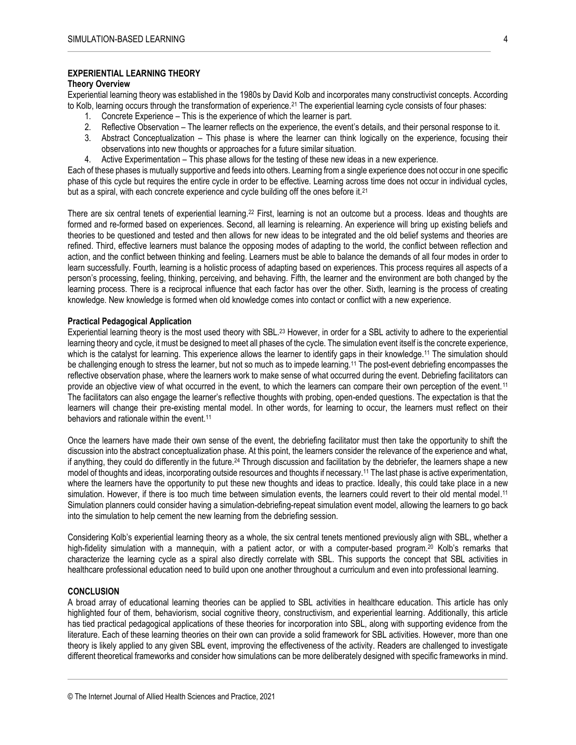## **EXPERIENTIAL LEARNING THEORY**

#### **Theory Overview**

Experiential learning theory was established in the 1980s by David Kolb and incorporates many constructivist concepts. According to Kolb, learning occurs through the transformation of experience.<sup>21</sup> The experiential learning cycle consists of four phases:

- 1. Concrete Experience This is the experience of which the learner is part.
- 2. Reflective Observation The learner reflects on the experience, the event's details, and their personal response to it.
- 3. Abstract Conceptualization This phase is where the learner can think logically on the experience, focusing their observations into new thoughts or approaches for a future similar situation.
- 4. Active Experimentation This phase allows for the testing of these new ideas in a new experience.

Each of these phases is mutually supportive and feeds into others. Learning from a single experience does not occur in one specific phase of this cycle but requires the entire cycle in order to be effective. Learning across time does not occur in individual cycles, but as a spiral, with each concrete experience and cycle building off the ones before it.<sup>21</sup>

There are six central tenets of experiential learning.<sup>22</sup> First, learning is not an outcome but a process. Ideas and thoughts are formed and re-formed based on experiences. Second, all learning is relearning. An experience will bring up existing beliefs and theories to be questioned and tested and then allows for new ideas to be integrated and the old belief systems and theories are refined. Third, effective learners must balance the opposing modes of adapting to the world, the conflict between reflection and action, and the conflict between thinking and feeling. Learners must be able to balance the demands of all four modes in order to learn successfully. Fourth, learning is a holistic process of adapting based on experiences. This process requires all aspects of a person's processing, feeling, thinking, perceiving, and behaving. Fifth, the learner and the environment are both changed by the learning process. There is a reciprocal influence that each factor has over the other. Sixth, learning is the process of creating knowledge. New knowledge is formed when old knowledge comes into contact or conflict with a new experience.

#### **Practical Pedagogical Application**

Experiential learning theory is the most used theory with SBL.<sup>23</sup> However, in order for a SBL activity to adhere to the experiential learning theory and cycle, it must be designed to meet all phases of the cycle. The simulation event itself is the concrete experience, which is the catalyst for learning. This experience allows the learner to identify gaps in their knowledge.<sup>11</sup> The simulation should be challenging enough to stress the learner, but not so much as to impede learning.<sup>11</sup> The post-event debriefing encompasses the reflective observation phase, where the learners work to make sense of what occurred during the event. Debriefing facilitators can provide an objective view of what occurred in the event, to which the learners can compare their own perception of the event.<sup>11</sup> The facilitators can also engage the learner's reflective thoughts with probing, open-ended questions. The expectation is that the learners will change their pre-existing mental model. In other words, for learning to occur, the learners must reflect on their behaviors and rationale within the event.<sup>11</sup>

Once the learners have made their own sense of the event, the debriefing facilitator must then take the opportunity to shift the discussion into the abstract conceptualization phase. At this point, the learners consider the relevance of the experience and what, if anything, they could do differently in the future.<sup>24</sup> Through discussion and facilitation by the debriefer, the learners shape a new model of thoughts and ideas, incorporating outside resources and thoughts if necessary.<sup>11</sup> The last phase is active experimentation, where the learners have the opportunity to put these new thoughts and ideas to practice. Ideally, this could take place in a new simulation. However, if there is too much time between simulation events, the learners could revert to their old mental model.<sup>11</sup> Simulation planners could consider having a simulation-debriefing-repeat simulation event model, allowing the learners to go back into the simulation to help cement the new learning from the debriefing session.

Considering Kolb's experiential learning theory as a whole, the six central tenets mentioned previously align with SBL, whether a high-fidelity simulation with a mannequin, with a patient actor, or with a computer-based program.<sup>20</sup> Kolb's remarks that characterize the learning cycle as a spiral also directly correlate with SBL. This supports the concept that SBL activities in healthcare professional education need to build upon one another throughout a curriculum and even into professional learning.

#### **CONCLUSION**

A broad array of educational learning theories can be applied to SBL activities in healthcare education. This article has only highlighted four of them, behaviorism, social cognitive theory, constructivism, and experiential learning. Additionally, this article has tied practical pedagogical applications of these theories for incorporation into SBL, along with supporting evidence from the literature. Each of these learning theories on their own can provide a solid framework for SBL activities. However, more than one theory is likely applied to any given SBL event, improving the effectiveness of the activity. Readers are challenged to investigate different theoretical frameworks and consider how simulations can be more deliberately designed with specific frameworks in mind.